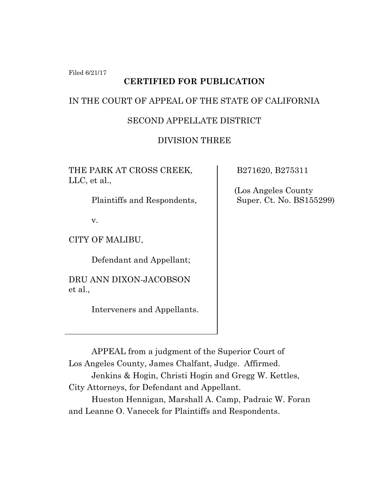Filed 6/21/17

# **CERTIFIED FOR PUBLICATION**

## IN THE COURT OF APPEAL OF THE STATE OF CALIFORNIA

# SECOND APPELLATE DISTRICT

# DIVISION THREE

THE PARK AT CROSS CREEK, LLC, et al.,

Plaintiffs and Respondents,

v.

CITY OF MALIBU,

Defendant and Appellant;

DRU ANN DIXON-JACOBSON et al.,

Interveners and Appellants.

B271620, B275311

 (Los Angeles County Super. Ct. No. BS155299)

APPEAL from a judgment of the Superior Court of Los Angeles County, James Chalfant, Judge. Affirmed.

Jenkins & Hogin, Christi Hogin and Gregg W. Kettles, City Attorneys, for Defendant and Appellant.

Hueston Hennigan, Marshall A. Camp, Padraic W. Foran and Leanne O. Vanecek for Plaintiffs and Respondents.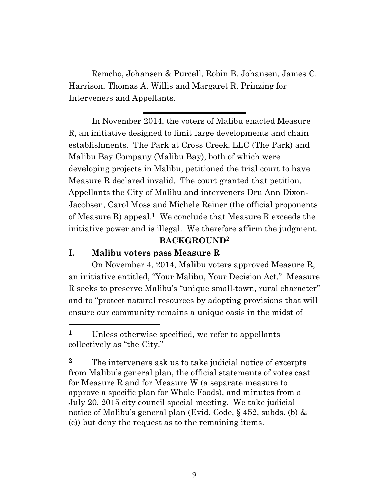Remcho, Johansen & Purcell, Robin B. Johansen, James C. Harrison, Thomas A. Willis and Margaret R. Prinzing for Interveners and Appellants.

**\_\_\_\_\_\_\_\_\_\_\_\_\_\_\_\_\_\_\_\_\_\_\_\_\_**

In November 2014, the voters of Malibu enacted Measure R, an initiative designed to limit large developments and chain establishments. The Park at Cross Creek, LLC (The Park) and Malibu Bay Company (Malibu Bay), both of which were developing projects in Malibu, petitioned the trial court to have Measure R declared invalid. The court granted that petition. Appellants the City of Malibu and interveners Dru Ann Dixon-Jacobsen, Carol Moss and Michele Reiner (the official proponents of Measure R) appeal.**1** We conclude that Measure R exceeds the initiative power and is illegal. We therefore affirm the judgment.

#### **BACKGROUND2**

### **I. Malibu voters pass Measure R**

 $\overline{a}$ 

On November 4, 2014, Malibu voters approved Measure R, an initiative entitled, "Your Malibu, Your Decision Act." Measure R seeks to preserve Malibu's "unique small-town, rural character" and to "protect natural resources by adopting provisions that will ensure our community remains a unique oasis in the midst of

**<sup>2</sup>** The interveners ask us to take judicial notice of excerpts from Malibu's general plan, the official statements of votes cast for Measure R and for Measure W (a separate measure to approve a specific plan for Whole Foods), and minutes from a July 20, 2015 city council special meeting. We take judicial notice of Malibu's general plan (Evid. Code, § 452, subds. (b) & (c)) but deny the request as to the remaining items.

**<sup>1</sup>** Unless otherwise specified, we refer to appellants collectively as "the City."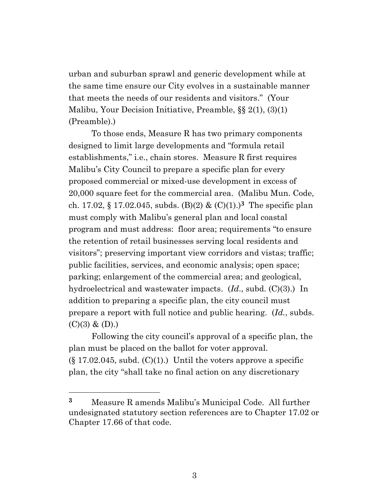urban and suburban sprawl and generic development while at the same time ensure our City evolves in a sustainable manner that meets the needs of our residents and visitors." (Your Malibu, Your Decision Initiative, Preamble, §§ 2(1), (3)(1) (Preamble).)

To those ends, Measure R has two primary components designed to limit large developments and "formula retail establishments," i.e., chain stores. Measure R first requires Malibu's City Council to prepare a specific plan for every proposed commercial or mixed-use development in excess of 20,000 square feet for the commercial area. (Malibu Mun. Code, ch. 17.02, § 17.02.045, subds. (B)(2) &  $(C)(1)$ .)<sup>3</sup> The specific plan must comply with Malibu's general plan and local coastal program and must address: floor area; requirements "to ensure the retention of retail businesses serving local residents and visitors"; preserving important view corridors and vistas; traffic; public facilities, services, and economic analysis; open space; parking; enlargement of the commercial area; and geological, hydroelectrical and wastewater impacts. (*Id*., subd. (C)(3).) In addition to preparing a specific plan, the city council must prepare a report with full notice and public hearing. (*Id.*, subds.  $(C)(3)$  &  $(D)$ .)

Following the city council's approval of a specific plan, the plan must be placed on the ballot for voter approval.  $(\S 17.02.045, \text{subd. (C)}(1))$  Until the voters approve a specific plan, the city "shall take no final action on any discretionary

 $\overline{a}$ 

**<sup>3</sup>** Measure R amends Malibu's Municipal Code. All further undesignated statutory section references are to Chapter 17.02 or Chapter 17.66 of that code.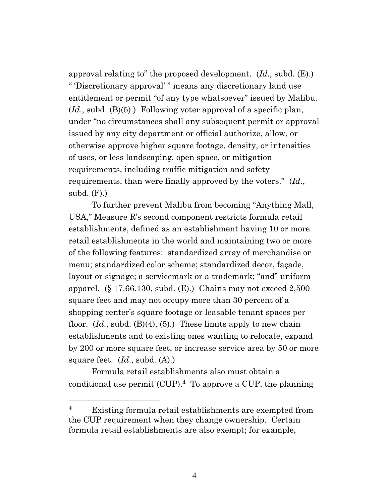approval relating to" the proposed development. (*Id*., subd. (E).) " 'Discretionary approval' " means any discretionary land use entitlement or permit "of any type whatsoever" issued by Malibu. (*Id*., subd. (B)(5).) Following voter approval of a specific plan, under "no circumstances shall any subsequent permit or approval issued by any city department or official authorize, allow, or otherwise approve higher square footage, density, or intensities of uses, or less landscaping, open space, or mitigation requirements, including traffic mitigation and safety requirements, than were finally approved by the voters." (*Id.*, subd.  $(F)$ .)

To further prevent Malibu from becoming "Anything Mall, USA," Measure R's second component restricts formula retail establishments, defined as an establishment having 10 or more retail establishments in the world and maintaining two or more of the following features: standardized array of merchandise or menu; standardized color scheme; standardized decor, façade, layout or signage; a servicemark or a trademark; "and" uniform apparel. (§ 17.66.130, subd.  $(E)$ .) Chains may not exceed 2,500 square feet and may not occupy more than 30 percent of a shopping center's square footage or leasable tenant spaces per floor. (*Id*., subd. (B)(4), (5).) These limits apply to new chain establishments and to existing ones wanting to relocate, expand by 200 or more square feet, or increase service area by 50 or more square feet. (*Id*., subd. (A).)

Formula retail establishments also must obtain a conditional use permit  $(CUP)$ .<sup>4</sup> To approve a CUP, the planning

 $\overline{a}$ 

**<sup>4</sup>** Existing formula retail establishments are exempted from the CUP requirement when they change ownership. Certain formula retail establishments are also exempt; for example,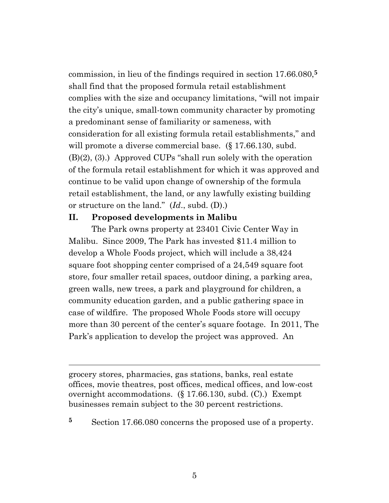commission, in lieu of the findings required in section 17.66.080,**5** shall find that the proposed formula retail establishment complies with the size and occupancy limitations, "will not impair the city's unique, small-town community character by promoting a predominant sense of familiarity or sameness, with consideration for all existing formula retail establishments," and will promote a diverse commercial base. (§ 17.66.130, subd.) (B)(2), (3).) Approved CUPs "shall run solely with the operation of the formula retail establishment for which it was approved and continue to be valid upon change of ownership of the formula retail establishment, the land, or any lawfully existing building or structure on the land." (*Id*., subd. (D).)

#### **II. Proposed developments in Malibu**

 $\overline{a}$ 

The Park owns property at 23401 Civic Center Way in Malibu. Since 2009, The Park has invested \$11.4 million to develop a Whole Foods project, which will include a 38,424 square foot shopping center comprised of a 24,549 square foot store, four smaller retail spaces, outdoor dining, a parking area, green walls, new trees, a park and playground for children, a community education garden, and a public gathering space in case of wildfire. The proposed Whole Foods store will occupy more than 30 percent of the center's square footage. In 2011, The Park's application to develop the project was approved. An

grocery stores, pharmacies, gas stations, banks, real estate offices, movie theatres, post offices, medical offices, and low-cost overnight accommodations. (§ 17.66.130, subd. (C).) Exempt businesses remain subject to the 30 percent restrictions.

**<sup>5</sup>** Section 17.66.080 concerns the proposed use of a property.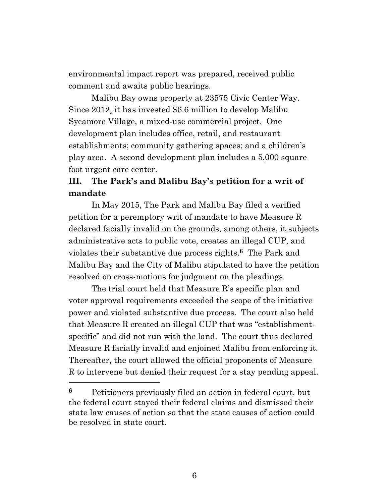environmental impact report was prepared, received public comment and awaits public hearings.

Malibu Bay owns property at 23575 Civic Center Way. Since 2012, it has invested \$6.6 million to develop Malibu Sycamore Village, a mixed-use commercial project. One development plan includes office, retail, and restaurant establishments; community gathering spaces; and a children's play area. A second development plan includes a 5,000 square foot urgent care center.

# **III. The Park's and Malibu Bay's petition for a writ of mandate**

In May 2015, The Park and Malibu Bay filed a verified petition for a peremptory writ of mandate to have Measure R declared facially invalid on the grounds, among others, it subjects administrative acts to public vote, creates an illegal CUP, and violates their substantive due process rights. **6** The Park and Malibu Bay and the City of Malibu stipulated to have the petition resolved on cross-motions for judgment on the pleadings.

The trial court held that Measure R's specific plan and voter approval requirements exceeded the scope of the initiative power and violated substantive due process. The court also held that Measure R created an illegal CUP that was "establishmentspecific" and did not run with the land. The court thus declared Measure R facially invalid and enjoined Malibu from enforcing it. Thereafter, the court allowed the official proponents of Measure R to intervene but denied their request for a stay pending appeal.

**<sup>6</sup>** Petitioners previously filed an action in federal court, but the federal court stayed their federal claims and dismissed their state law causes of action so that the state causes of action could be resolved in state court.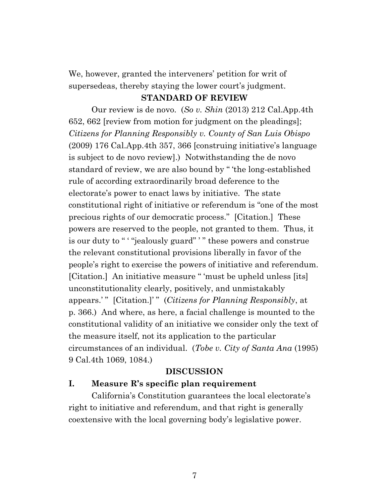We, however, granted the interveners' petition for writ of supersedeas, thereby staying the lower court's judgment.

#### **STANDARD OF REVIEW**

Our review is de novo. (*So v. Shin* (2013) 212 Cal.App.4th 652, 662 [review from motion for judgment on the pleadings]; *Citizens for Planning Responsibly v. County of San Luis Obispo*  (2009) 176 Cal.App.4th 357, 366 [construing initiative's language is subject to de novo review].) Notwithstanding the de novo standard of review, we are also bound by " 'the long-established rule of according extraordinarily broad deference to the electorate's power to enact laws by initiative. The state constitutional right of initiative or referendum is "one of the most precious rights of our democratic process." [Citation.] These powers are reserved to the people, not granted to them. Thus, it is our duty to " ' "jealously guard" ' " these powers and construe the relevant constitutional provisions liberally in favor of the people's right to exercise the powers of initiative and referendum. [Citation.] An initiative measure " 'must be upheld unless [its] unconstitutionality clearly, positively, and unmistakably appears.' " [Citation.]' " (*Citizens for Planning Responsibly*, at p. 366.) And where, as here, a facial challenge is mounted to the constitutional validity of an initiative we consider only the text of the measure itself, not its application to the particular circumstances of an individual. (*Tobe v. City of Santa Ana* (1995) 9 Cal.4th 1069, 1084.)

#### **DISCUSSION**

#### **I. Measure R's specific plan requirement**

California's Constitution guarantees the local electorate's right to initiative and referendum, and that right is generally coextensive with the local governing body's legislative power.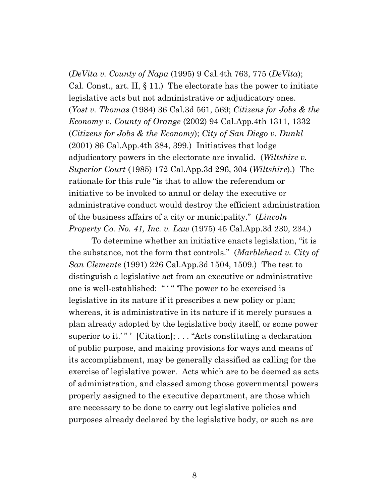(*DeVita v. County of Napa* (1995) 9 Cal.4th 763, 775 (*DeVita*); Cal. Const., art. II, § 11.) The electorate has the power to initiate legislative acts but not administrative or adjudicatory ones. (*Yost v. Thomas* (1984) 36 Cal.3d 561, 569; *Citizens for Jobs & the Economy v. County of Orange* (2002) 94 Cal.App.4th 1311, 1332 (*Citizens for Jobs & the Economy*); *City of San Diego v. Dunkl*  (2001) 86 Cal.App.4th 384, 399.) Initiatives that lodge adjudicatory powers in the electorate are invalid. (*Wiltshire v. Superior Court* (1985) 172 Cal.App.3d 296, 304 (*Wiltshire*).) The rationale for this rule "is that to allow the referendum or initiative to be invoked to annul or delay the executive or administrative conduct would destroy the efficient administration of the business affairs of a city or municipality." (*Lincoln Property Co. No. 41, Inc. v. Law* (1975) 45 Cal.App.3d 230, 234.)

To determine whether an initiative enacts legislation, "it is the substance, not the form that controls." (*Marblehead v. City of San Clemente* (1991) 226 Cal.App.3d 1504, 1509.) The test to distinguish a legislative act from an executive or administrative one is well-established: "'" "The power to be exercised is legislative in its nature if it prescribes a new policy or plan; whereas, it is administrative in its nature if it merely pursues a plan already adopted by the legislative body itself, or some power superior to it.'"'  $[Citation]$ ; ... "Acts constituting a declaration of public purpose, and making provisions for ways and means of its accomplishment, may be generally classified as calling for the exercise of legislative power. Acts which are to be deemed as acts of administration, and classed among those governmental powers properly assigned to the executive department, are those which are necessary to be done to carry out legislative policies and purposes already declared by the legislative body, or such as are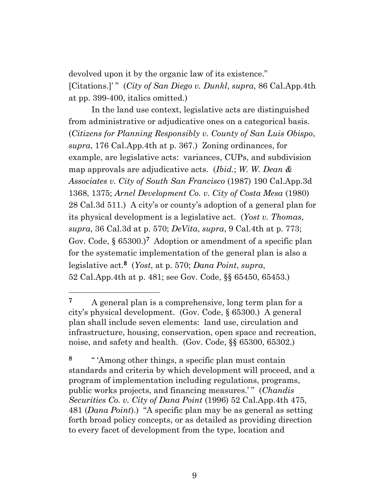devolved upon it by the organic law of its existence." [Citations.]' " (*City of San Diego v. Dunkl*, *supra*, 86 Cal.App.4th at pp. 399-400, italics omitted.)

In the land use context, legislative acts are distinguished from administrative or adjudicative ones on a categorical basis. (*Citizens for Planning Responsibly v. County of San Luis Obispo*, *supra*, 176 Cal.App.4th at p. 367.) Zoning ordinances, for example, are legislative acts: variances, CUPs, and subdivision map approvals are adjudicative acts. (*Ibid.*; *W. W. Dean & Associates v. City of South San Francisco* (1987) 190 Cal.App.3d 1368, 1375; *Arnel Development Co. v. City of Costa Mesa* (1980) 28 Cal.3d 511.) A city's or county's adoption of a general plan for its physical development is a legislative act. (*Yost v. Thomas*, *supra*, 36 Cal.3d at p. 570; *DeVita*, *supra*, 9 Cal.4th at p. 773; Gov. Code, § 65300.)<sup>7</sup> Adoption or amendment of a specific plan for the systematic implementation of the general plan is also a legislative act. **8** (*Yost*, at p. 570; *Dana Point*, *supra*, 52 Cal.App.4th at p. 481; see Gov. Code, §§ 65450, 65453.)

**<sup>7</sup>** A general plan is a comprehensive, long term plan for a city's physical development. (Gov. Code, § 65300.) A general plan shall include seven elements: land use, circulation and infrastructure, housing, conservation, open space and recreation, noise, and safety and health. (Gov. Code, §§ 65300, 65302.)

**<sup>8</sup>** " 'Among other things, a specific plan must contain standards and criteria by which development will proceed, and a program of implementation including regulations, programs, public works projects, and financing measures.' " (*Chandis Securities Co. v. City of Dana Point* (1996) 52 Cal.App.4th 475, 481 (*Dana Point*).) "A specific plan may be as general as setting forth broad policy concepts, or as detailed as providing direction to every facet of development from the type, location and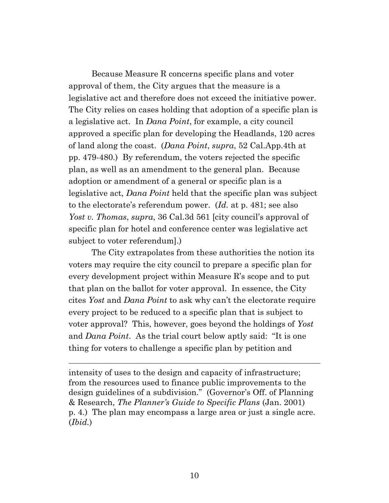Because Measure R concerns specific plans and voter approval of them, the City argues that the measure is a legislative act and therefore does not exceed the initiative power. The City relies on cases holding that adoption of a specific plan is a legislative act. In *Dana Point*, for example, a city council approved a specific plan for developing the Headlands, 120 acres of land along the coast. (*Dana Point*, *supra*, 52 Cal.App.4th at pp. 479-480.) By referendum, the voters rejected the specific plan, as well as an amendment to the general plan. Because adoption or amendment of a general or specific plan is a legislative act, *Dana Point* held that the specific plan was subject to the electorate's referendum power. (*Id.* at p. 481; see also *Yost v. Thomas*, *supra*, 36 Cal.3d 561 [city council's approval of specific plan for hotel and conference center was legislative act subject to voter referendum].)

The City extrapolates from these authorities the notion its voters may require the city council to prepare a specific plan for every development project within Measure R's scope and to put that plan on the ballot for voter approval. In essence, the City cites *Yost* and *Dana Point* to ask why can't the electorate require every project to be reduced to a specific plan that is subject to voter approval? This, however, goes beyond the holdings of *Yost*  and *Dana Point*. As the trial court below aptly said: "It is one thing for voters to challenge a specific plan by petition and

intensity of uses to the design and capacity of infrastructure; from the resources used to finance public improvements to the design guidelines of a subdivision." (Governor's Off. of Planning & Research, *The Planner's Guide to Specific Plans* (Jan. 2001) p. 4.) The plan may encompass a large area or just a single acre. (*Ibid.*)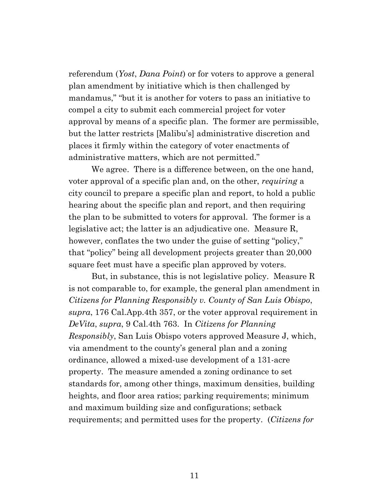referendum (*Yost*, *Dana Point*) or for voters to approve a general plan amendment by initiative which is then challenged by mandamus," "but it is another for voters to pass an initiative to compel a city to submit each commercial project for voter approval by means of a specific plan. The former are permissible, but the latter restricts [Malibu's] administrative discretion and places it firmly within the category of voter enactments of administrative matters, which are not permitted."

We agree. There is a difference between, on the one hand, voter approval of a specific plan and, on the other, *requiring* a city council to prepare a specific plan and report, to hold a public hearing about the specific plan and report, and then requiring the plan to be submitted to voters for approval. The former is a legislative act; the latter is an adjudicative one. Measure R, however, conflates the two under the guise of setting "policy," that "policy" being all development projects greater than 20,000 square feet must have a specific plan approved by voters.

But, in substance, this is not legislative policy. Measure R is not comparable to, for example, the general plan amendment in *Citizens for Planning Responsibly v. County of San Luis Obispo*, *supra*, 176 Cal.App.4th 357, or the voter approval requirement in *DeVita*, *supra*, 9 Cal.4th 763. In *Citizens for Planning Responsibly*, San Luis Obispo voters approved Measure J, which, via amendment to the county's general plan and a zoning ordinance, allowed a mixed-use development of a 131-acre property. The measure amended a zoning ordinance to set standards for, among other things, maximum densities, building heights, and floor area ratios; parking requirements; minimum and maximum building size and configurations; setback requirements; and permitted uses for the property. (*Citizens for*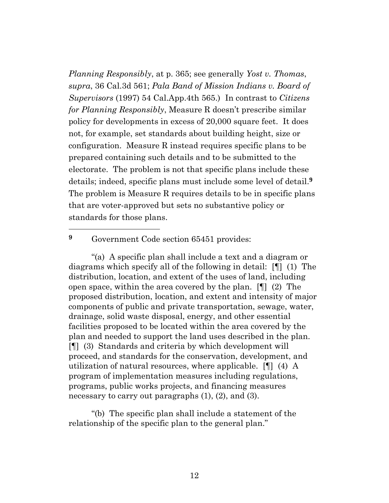*Planning Responsibly*, at p. 365; see generally *Yost v. Thomas*, *supra*, 36 Cal.3d 561; *Pala Band of Mission Indians v. Board of Supervisors* (1997) 54 Cal.App.4th 565.) In contrast to *Citizens for Planning Responsibly*, Measure R doesn't prescribe similar policy for developments in excess of 20,000 square feet. It does not, for example, set standards about building height, size or configuration. Measure R instead requires specific plans to be prepared containing such details and to be submitted to the electorate. The problem is not that specific plans include these details; indeed, specific plans must include some level of detail. **9** The problem is Measure R requires details to be in specific plans that are voter-approved but sets no substantive policy or standards for those plans.

<sup>9</sup> Government Code section 65451 provides:

 $\overline{a}$ 

"(a) A specific plan shall include a text and a diagram or diagrams which specify all of the following in detail: [¶] (1) The distribution, location, and extent of the uses of land, including open space, within the area covered by the plan. [¶] (2) The proposed distribution, location, and extent and intensity of major components of public and private transportation, sewage, water, drainage, solid waste disposal, energy, and other essential facilities proposed to be located within the area covered by the plan and needed to support the land uses described in the plan. [¶] (3) Standards and criteria by which development will proceed, and standards for the conservation, development, and utilization of natural resources, where applicable. [¶] (4) A program of implementation measures including regulations, programs, public works projects, and financing measures necessary to carry out paragraphs (1), (2), and (3).

"(b) The specific plan shall include a statement of the relationship of the specific plan to the general plan."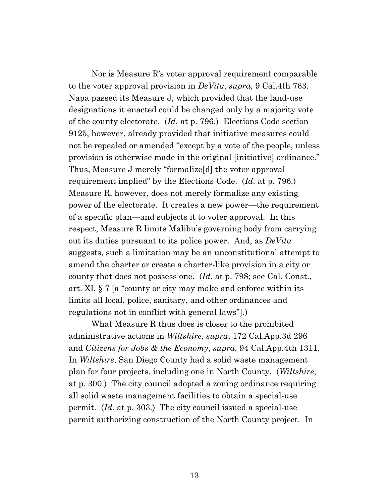Nor is Measure R's voter approval requirement comparable to the voter approval provision in *DeVita*, *supra*, 9 Cal.4th 763. Napa passed its Measure J, which provided that the land-use designations it enacted could be changed only by a majority vote of the county electorate. (*Id.* at p. 796.) Elections Code section 9125, however, already provided that initiative measures could not be repealed or amended "except by a vote of the people, unless provision is otherwise made in the original [initiative] ordinance." Thus, Measure J merely "formalize[d] the voter approval requirement implied" by the Elections Code. (*Id.* at p. 796.) Measure R, however, does not merely formalize any existing power of the electorate. It creates a new power—the requirement of a specific plan—and subjects it to voter approval. In this respect, Measure R limits Malibu's governing body from carrying out its duties pursuant to its police power. And, as *DeVita*  suggests, such a limitation may be an unconstitutional attempt to amend the charter or create a charter-like provision in a city or county that does not possess one. (*Id.* at p. 798; see Cal. Const., art. XI, § 7 [a "county or city may make and enforce within its limits all local, police, sanitary, and other ordinances and regulations not in conflict with general laws"].)

What Measure R thus does is closer to the prohibited administrative actions in *Wiltshire*, *supra*, 172 Cal.App.3d 296 and *Citizens for Jobs & the Economy*, *supra*, 94 Cal.App.4th 1311*.* In *Wiltshire*, San Diego County had a solid waste management plan for four projects, including one in North County. (*Wiltshire*, at p. 300.) The city council adopted a zoning ordinance requiring all solid waste management facilities to obtain a special-use permit. (*Id.* at p. 303.) The city council issued a special-use permit authorizing construction of the North County project. In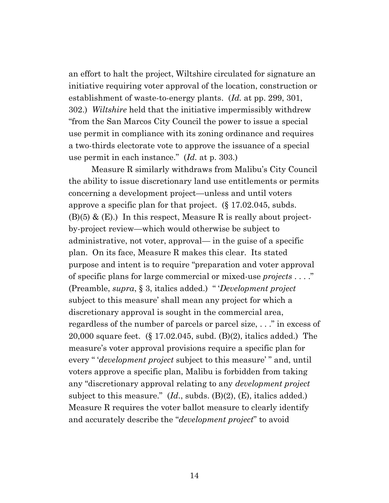an effort to halt the project, Wiltshire circulated for signature an initiative requiring voter approval of the location, construction or establishment of waste-to-energy plants. (*Id.* at pp. 299, 301, 302.) *Wiltshire* held that the initiative impermissibly withdrew "from the San Marcos City Council the power to issue a special use permit in compliance with its zoning ordinance and requires a two-thirds electorate vote to approve the issuance of a special use permit in each instance." (*Id.* at p. 303.)

Measure R similarly withdraws from Malibu's City Council the ability to issue discretionary land use entitlements or permits concerning a development project—unless and until voters approve a specific plan for that project. (§ 17.02.045, subds.  $(B)(5)$  &  $(E)$ .) In this respect, Measure R is really about projectby-project review—which would otherwise be subject to administrative, not voter, approval— in the guise of a specific plan. On its face, Measure R makes this clear. Its stated purpose and intent is to require "preparation and voter approval of specific plans for large commercial or mixed-use *projects* . . . ." (Preamble, *supra*, § 3, italics added.) " '*Development project* subject to this measure' shall mean any project for which a discretionary approval is sought in the commercial area, regardless of the number of parcels or parcel size, . . ." in excess of 20,000 square feet. (§ 17.02.045, subd. (B)(2), italics added.) The measure's voter approval provisions require a specific plan for every " '*development project* subject to this measure' " and, until voters approve a specific plan, Malibu is forbidden from taking any "discretionary approval relating to any *development project* subject to this measure." (*Id.*, subds. (B)(2), (E), italics added.) Measure R requires the voter ballot measure to clearly identify and accurately describe the "*development project*" to avoid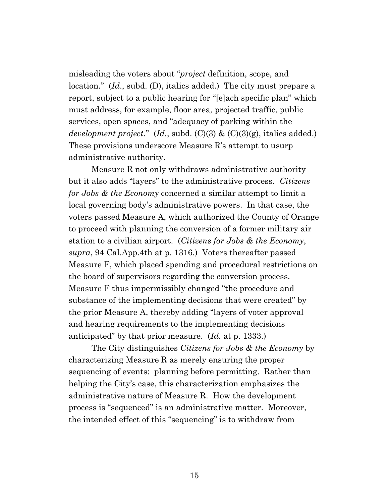misleading the voters about "*project* definition, scope, and location." (*Id*., subd. (D), italics added.) The city must prepare a report, subject to a public hearing for "[e]ach specific plan" which must address, for example, floor area, projected traffic, public services, open spaces, and "adequacy of parking within the *development project*." (*Id.*, subd. (C)(3) & (C)(3)(g), italics added.) These provisions underscore Measure R's attempt to usurp administrative authority.

Measure R not only withdraws administrative authority but it also adds "layers" to the administrative process. *Citizens for Jobs & the Economy* concerned a similar attempt to limit a local governing body's administrative powers. In that case, the voters passed Measure A, which authorized the County of Orange to proceed with planning the conversion of a former military air station to a civilian airport. (*Citizens for Jobs & the Economy*, *supra*, 94 Cal.App.4th at p. 1316.) Voters thereafter passed Measure F, which placed spending and procedural restrictions on the board of supervisors regarding the conversion process. Measure F thus impermissibly changed "the procedure and substance of the implementing decisions that were created" by the prior Measure A, thereby adding "layers of voter approval and hearing requirements to the implementing decisions anticipated" by that prior measure. (*Id.* at p. 1333.)

The City distinguishes *Citizens for Jobs & the Economy* by characterizing Measure R as merely ensuring the proper sequencing of events: planning before permitting. Rather than helping the City's case, this characterization emphasizes the administrative nature of Measure R. How the development process is "sequenced" is an administrative matter. Moreover, the intended effect of this "sequencing" is to withdraw from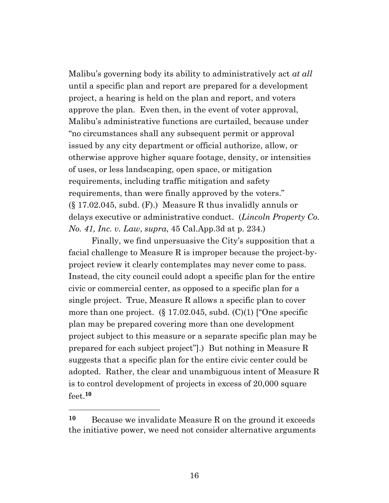Malibu's governing body its ability to administratively act *at all* until a specific plan and report are prepared for a development project, a hearing is held on the plan and report, and voters approve the plan. Even then, in the event of voter approval, Malibu's administrative functions are curtailed, because under "no circumstances shall any subsequent permit or approval issued by any city department or official authorize, allow, or otherwise approve higher square footage, density, or intensities of uses, or less landscaping, open space, or mitigation requirements, including traffic mitigation and safety requirements, than were finally approved by the voters."  $(\S 17.02.045, \text{subd. (F)}.)$  Measure R thus invalidly annuls or delays executive or administrative conduct. (*Lincoln Property Co. No. 41, Inc. v. Law*, *supra*, 45 Cal.App.3d at p. 234.)

Finally, we find unpersuasive the City's supposition that a facial challenge to Measure R is improper because the project-byproject review it clearly contemplates may never come to pass. Instead, the city council could adopt a specific plan for the entire civic or commercial center, as opposed to a specific plan for a single project. True, Measure R allows a specific plan to cover more than one project.  $(\S 17.02.045, \text{subd. (C)}(1)$  ["One specific plan may be prepared covering more than one development project subject to this measure or a separate specific plan may be prepared for each subject project"].) But nothing in Measure R suggests that a specific plan for the entire civic center could be adopted. Rather, the clear and unambiguous intent of Measure R is to control development of projects in excess of 20,000 square feet.**10**

**<sup>10</sup>** Because we invalidate Measure R on the ground it exceeds the initiative power, we need not consider alternative arguments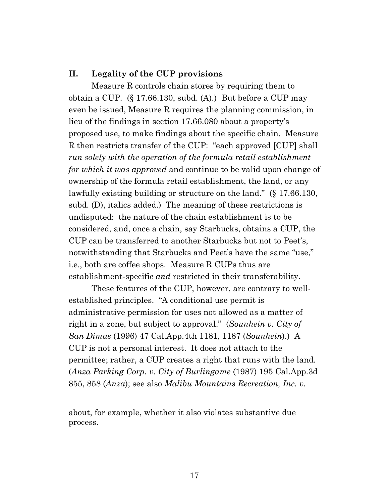#### **II. Legality of the CUP provisions**

Measure R controls chain stores by requiring them to obtain a CUP. (§ 17.66.130, subd. (A).) But before a CUP may even be issued, Measure R requires the planning commission, in lieu of the findings in section 17.66.080 about a property's proposed use, to make findings about the specific chain. Measure R then restricts transfer of the CUP: "each approved [CUP] shall *run solely with the operation of the formula retail establishment for which it was approved* and continue to be valid upon change of ownership of the formula retail establishment, the land, or any lawfully existing building or structure on the land." (§ 17.66.130, subd. (D), italics added.) The meaning of these restrictions is undisputed: the nature of the chain establishment is to be considered, and, once a chain, say Starbucks, obtains a CUP, the CUP can be transferred to another Starbucks but not to Peet's, notwithstanding that Starbucks and Peet's have the same "use," i.e., both are coffee shops. Measure R CUPs thus are establishment-specific *and* restricted in their transferability.

These features of the CUP, however, are contrary to wellestablished principles. "A conditional use permit is administrative permission for uses not allowed as a matter of right in a zone, but subject to approval." (*Sounhein v. City of San Dimas* (1996) 47 Cal.App.4th 1181, 1187 (*Sounhein*).) A CUP is not a personal interest. It does not attach to the permittee; rather, a CUP creates a right that runs with the land. (*Anza Parking Corp. v. City of Burlingame* (1987) 195 Cal.App.3d 855, 858 (*Anza*); see also *Malibu Mountains Recreation, Inc. v.* 

about, for example, whether it also violates substantive due process.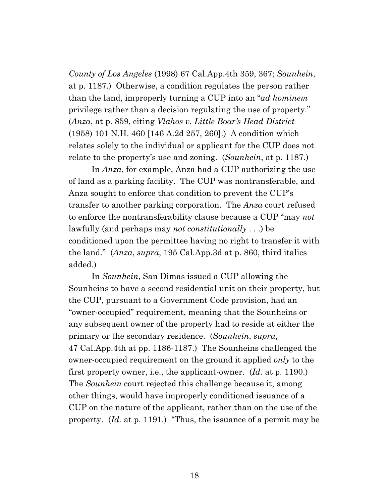*County of Los Angeles* (1998) 67 Cal.App.4th 359, 367; *Sounhein*, at p. 1187.) Otherwise, a condition regulates the person rather than the land, improperly turning a CUP into an "*ad hominem* privilege rather than a decision regulating the use of property." (*Anza*, at p. 859, citing *Vlahos v. Little Boar's Head District*  (1958) 101 N.H. 460 [146 A.2d 257, 260].) A condition which relates solely to the individual or applicant for the CUP does not relate to the property's use and zoning. (*Sounhein*, at p. 1187*.*)

In *Anza*, for example, Anza had a CUP authorizing the use of land as a parking facility. The CUP was nontransferable, and Anza sought to enforce that condition to prevent the CUP's transfer to another parking corporation. The *Anza* court refused to enforce the nontransferability clause because a CUP "may *not* lawfully (and perhaps may *not constitutionally* . . .) be conditioned upon the permittee having no right to transfer it with the land." (*Anza*, *supra*, 195 Cal.App.3d at p. 860, third italics added.)

In *Sounhein*, San Dimas issued a CUP allowing the Sounheins to have a second residential unit on their property, but the CUP, pursuant to a Government Code provision, had an "owner-occupied" requirement, meaning that the Sounheins or any subsequent owner of the property had to reside at either the primary or the secondary residence. (*Sounhein*, *supra*, 47 Cal.App.4th at pp. 1186-1187.) The Sounheins challenged the owner-occupied requirement on the ground it applied *only* to the first property owner, i.e., the applicant-owner. (*Id.* at p. 1190.) The *Sounhein* court rejected this challenge because it, among other things, would have improperly conditioned issuance of a CUP on the nature of the applicant, rather than on the use of the property. (*Id.* at p. 1191.) "Thus, the issuance of a permit may be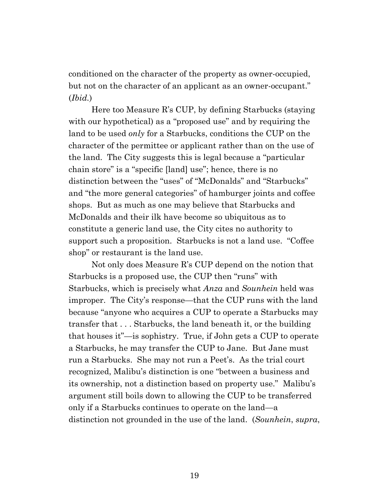conditioned on the character of the property as owner-occupied, but not on the character of an applicant as an owner-occupant." (*Ibid.*)

Here too Measure R's CUP, by defining Starbucks (staying with our hypothetical) as a "proposed use" and by requiring the land to be used *only* for a Starbucks, conditions the CUP on the character of the permittee or applicant rather than on the use of the land. The City suggests this is legal because a "particular chain store" is a "specific [land] use"; hence, there is no distinction between the "uses" of "McDonalds" and "Starbucks" and "the more general categories" of hamburger joints and coffee shops. But as much as one may believe that Starbucks and McDonalds and their ilk have become so ubiquitous as to constitute a generic land use, the City cites no authority to support such a proposition. Starbucks is not a land use. "Coffee shop" or restaurant is the land use.

Not only does Measure R's CUP depend on the notion that Starbucks is a proposed use, the CUP then "runs" with Starbucks, which is precisely what *Anza* and *Sounhein* held was improper. The City's response—that the CUP runs with the land because "anyone who acquires a CUP to operate a Starbucks may transfer that . . . Starbucks, the land beneath it, or the building that houses it"—is sophistry. True, if John gets a CUP to operate a Starbucks, he may transfer the CUP to Jane. But Jane must run a Starbucks. She may not run a Peet's. As the trial court recognized, Malibu's distinction is one "between a business and its ownership, not a distinction based on property use." Malibu's argument still boils down to allowing the CUP to be transferred only if a Starbucks continues to operate on the land—a distinction not grounded in the use of the land. (*Sounhein*, *supra*,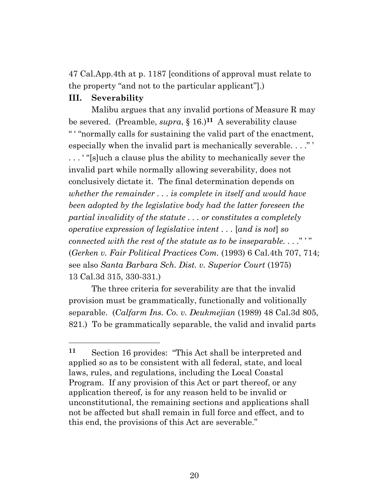47 Cal.App.4th at p. 1187 [conditions of approval must relate to the property "and not to the particular applicant"].)

#### **III. Severability**

Malibu argues that any invalid portions of Measure R may be severed. (Preamble, *supra*, § 16.)**11** A severability clause " ' "normally calls for sustaining the valid part of the enactment, especially when the invalid part is mechanically severable...." . . . ' "[s]uch a clause plus the ability to mechanically sever the invalid part while normally allowing severability, does not conclusively dictate it. The final determination depends on *whether the remainder . . . is complete in itself and would have been adopted by the legislative body had the latter foreseen the partial invalidity of the statute . . . or constitutes a completely operative expression of legislative intent . . .* [*and is not*] *so connected with the rest of the statute as to be inseparable...."* (*Gerken v. Fair Political Practices Com.* (1993) 6 Cal.4th 707, 714; see also *Santa Barbara Sch. Dist. v. Superior Court* (1975) 13 Cal.3d 315, 330-331.)

The three criteria for severability are that the invalid provision must be grammatically, functionally and volitionally separable. (*Calfarm Ins. Co. v. Deukmejian* (1989) 48 Cal.3d 805, 821.) To be grammatically separable, the valid and invalid parts

**<sup>11</sup>** Section 16 provides: "This Act shall be interpreted and applied so as to be consistent with all federal, state, and local laws, rules, and regulations, including the Local Coastal Program. If any provision of this Act or part thereof, or any application thereof, is for any reason held to be invalid or unconstitutional, the remaining sections and applications shall not be affected but shall remain in full force and effect, and to this end, the provisions of this Act are severable."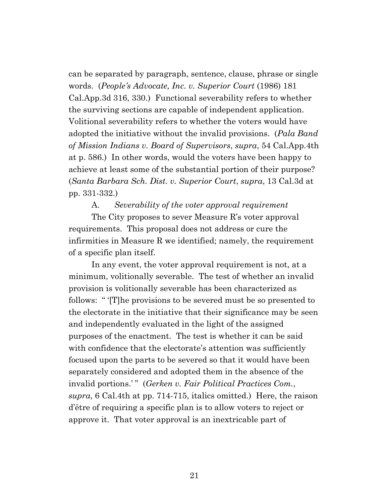can be separated by paragraph, sentence, clause, phrase or single words. (*People's Advocate, Inc. v. Superior Court* (1986) 181 Cal.App.3d 316, 330.) Functional severability refers to whether the surviving sections are capable of independent application. Volitional severability refers to whether the voters would have adopted the initiative without the invalid provisions. (*Pala Band of Mission Indians v. Board of Supervisors*, *supra*, 54 Cal.App.4th at p. 586.) In other words, would the voters have been happy to achieve at least some of the substantial portion of their purpose? (*Santa Barbara Sch. Dist. v. Superior Court*, *supra*, 13 Cal.3d at pp. 331-332.)

A. *Severability of the voter approval requirement* 

The City proposes to sever Measure R's voter approval requirements. This proposal does not address or cure the infirmities in Measure R we identified; namely, the requirement of a specific plan itself.

In any event, the voter approval requirement is not, at a minimum, volitionally severable. The test of whether an invalid provision is volitionally severable has been characterized as follows: " '[T]he provisions to be severed must be so presented to the electorate in the initiative that their significance may be seen and independently evaluated in the light of the assigned purposes of the enactment. The test is whether it can be said with confidence that the electorate's attention was sufficiently focused upon the parts to be severed so that it would have been separately considered and adopted them in the absence of the invalid portions.'" (*Gerken v. Fair Political Practices Com.*, *supra*, 6 Cal.4th at pp. 714-715, italics omitted.) Here, the raison d'être of requiring a specific plan is to allow voters to reject or approve it. That voter approval is an inextricable part of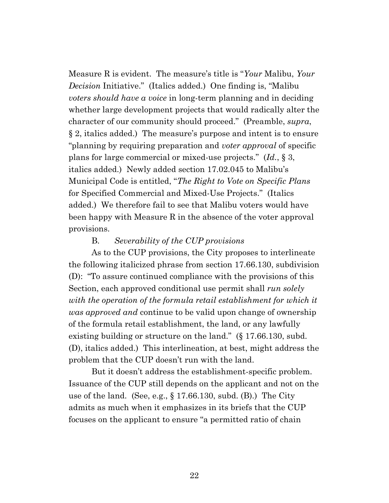Measure R is evident. The measure's title is "*Your* Malibu, *Your Decision* Initiative." (Italics added.) One finding is, "Malibu *voters should have a voice* in long-term planning and in deciding whether large development projects that would radically alter the character of our community should proceed." (Preamble, *supra*, § 2, italics added.) The measure's purpose and intent is to ensure "planning by requiring preparation and *voter approval* of specific plans for large commercial or mixed-use projects." (*Id.*, § 3, italics added.) Newly added section 17.02.045 to Malibu's Municipal Code is entitled, "*The Right to Vote on Specific Plans* for Specified Commercial and Mixed-Use Projects." (Italics added.) We therefore fail to see that Malibu voters would have been happy with Measure R in the absence of the voter approval provisions.

#### B. *Severability of the CUP provisions*

As to the CUP provisions, the City proposes to interlineate the following italicized phrase from section 17.66.130, subdivision (D): "To assure continued compliance with the provisions of this Section, each approved conditional use permit shall *run solely with the operation of the formula retail establishment for which it was approved and* continue to be valid upon change of ownership of the formula retail establishment, the land, or any lawfully existing building or structure on the land." (§ 17.66.130, subd.) (D), italics added.) This interlineation, at best, might address the problem that the CUP doesn't run with the land.

But it doesn't address the establishment-specific problem. Issuance of the CUP still depends on the applicant and not on the use of the land. (See, e.g.,  $\S 17.66.130$ , subd. (B).) The City admits as much when it emphasizes in its briefs that the CUP focuses on the applicant to ensure "a permitted ratio of chain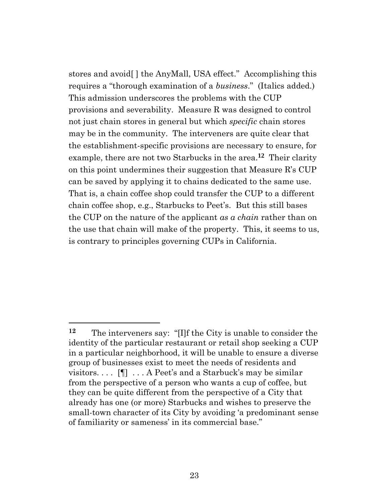stores and avoid[ ] the AnyMall, USA effect." Accomplishing this requires a "thorough examination of a *business*." (Italics added.) This admission underscores the problems with the CUP provisions and severability. Measure R was designed to control not just chain stores in general but which *specific* chain stores may be in the community. The interveners are quite clear that the establishment-specific provisions are necessary to ensure, for example, there are not two Starbucks in the area.**12** Their clarity on this point undermines their suggestion that Measure R's CUP can be saved by applying it to chains dedicated to the same use. That is, a chain coffee shop could transfer the CUP to a different chain coffee shop, e.g., Starbucks to Peet's. But this still bases the CUP on the nature of the applicant *as a chain* rather than on the use that chain will make of the property. This, it seems to us, is contrary to principles governing CUPs in California.

 $\overline{a}$ 

**<sup>12</sup>** The interveners say: "[I]f the City is unable to consider the identity of the particular restaurant or retail shop seeking a CUP in a particular neighborhood, it will be unable to ensure a diverse group of businesses exist to meet the needs of residents and visitors....  $[\P]$ ... A Peet's and a Starbuck's may be similar from the perspective of a person who wants a cup of coffee, but they can be quite different from the perspective of a City that already has one (or more) Starbucks and wishes to preserve the small-town character of its City by avoiding 'a predominant sense of familiarity or sameness' in its commercial base."